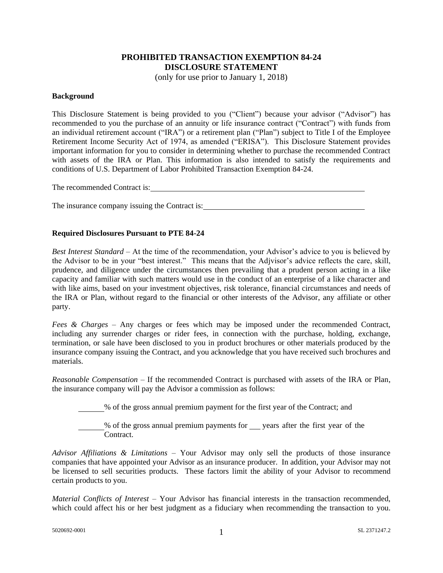## **PROHIBITED TRANSACTION EXEMPTION 84-24 DISCLOSURE STATEMENT**

(only for use prior to January 1, 2018)

## **Background**

This Disclosure Statement is being provided to you ("Client") because your advisor ("Advisor") has recommended to you the purchase of an annuity or life insurance contract ("Contract") with funds from an individual retirement account ("IRA") or a retirement plan ("Plan") subject to Title I of the Employee Retirement Income Security Act of 1974, as amended ("ERISA"). This Disclosure Statement provides important information for you to consider in determining whether to purchase the recommended Contract with assets of the IRA or Plan. This information is also intended to satisfy the requirements and conditions of U.S. Department of Labor Prohibited Transaction Exemption 84-24.

The recommended Contract is: The recommended Contract is:

The insurance company issuing the Contract is:

## **Required Disclosures Pursuant to PTE 84-24**

*Best Interest Standard* – At the time of the recommendation, your Advisor's advice to you is believed by the Advisor to be in your "best interest." This means that the Adjvisor's advice reflects the care, skill, prudence, and diligence under the circumstances then prevailing that a prudent person acting in a like capacity and familiar with such matters would use in the conduct of an enterprise of a like character and with like aims, based on your investment objectives, risk tolerance, financial circumstances and needs of the IRA or Plan, without regard to the financial or other interests of the Advisor, any affiliate or other party.

*Fees & Charges* – Any charges or fees which may be imposed under the recommended Contract, including any surrender charges or rider fees, in connection with the purchase, holding, exchange, termination, or sale have been disclosed to you in product brochures or other materials produced by the insurance company issuing the Contract, and you acknowledge that you have received such brochures and materials.

*Reasonable Compensation* – If the recommended Contract is purchased with assets of the IRA or Plan, the insurance company will pay the Advisor a commission as follows:

% of the gross annual premium payment for the first year of the Contract; and

% of the gross annual premium payments for years after the first year of the Contract.

*Advisor Affiliations & Limitations* – Your Advisor may only sell the products of those insurance companies that have appointed your Advisor as an insurance producer. In addition, your Advisor may not be licensed to sell securities products. These factors limit the ability of your Advisor to recommend certain products to you.

*Material Conflicts of Interest* – Your Advisor has financial interests in the transaction recommended, which could affect his or her best judgment as a fiduciary when recommending the transaction to you.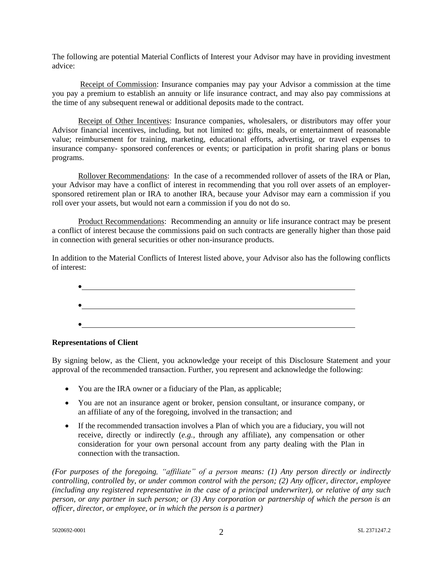The following are potential Material Conflicts of Interest your Advisor may have in providing investment advice:

Receipt of Commission: Insurance companies may pay your Advisor a commission at the time you pay a premium to establish an annuity or life insurance contract, and may also pay commissions at the time of any subsequent renewal or additional deposits made to the contract.

Receipt of Other Incentives: Insurance companies, wholesalers, or distributors may offer your Advisor financial incentives, including, but not limited to: gifts, meals, or entertainment of reasonable value; reimbursement for training, marketing, educational efforts, advertising, or travel expenses to insurance company- sponsored conferences or events; or participation in profit sharing plans or bonus programs.

Rollover Recommendations:In the case of a recommended rollover of assets of the IRA or Plan, your Advisor may have a conflict of interest in recommending that you roll over assets of an employersponsored retirement plan or IRA to another IRA, because your Advisor may earn a commission if you roll over your assets, but would not earn a commission if you do not do so.

Product Recommendations: Recommending an annuity or life insurance contract may be present a conflict of interest because the commissions paid on such contracts are generally higher than those paid in connection with general securities or other non-insurance products.

In addition to the Material Conflicts of Interest listed above, your Advisor also has the following conflicts of interest:



## **Representations of Client**

By signing below, as the Client, you acknowledge your receipt of this Disclosure Statement and your approval of the recommended transaction. Further, you represent and acknowledge the following:

- You are the IRA owner or a fiduciary of the Plan, as applicable;
- You are not an insurance agent or broker, pension consultant, or insurance company, or an affiliate of any of the foregoing, involved in the transaction; and
- If the recommended transaction involves a Plan of which you are a fiduciary, you will not receive, directly or indirectly (*e.g.,* through any affiliate), any compensation or other consideration for your own personal account from any party dealing with the Plan in connection with the transaction.

*(For purposes of the foregoing, "affiliate" of a person means: (1) Any person directly or indirectly controlling, controlled by, or under common control with the person; (2) Any officer, director, employee (including any registered representative in the case of a principal underwriter), or relative of any such person, or any partner in such person; or (3) Any corporation or partnership of which the person is an officer, director, or employee, or in which the person is a partner)*